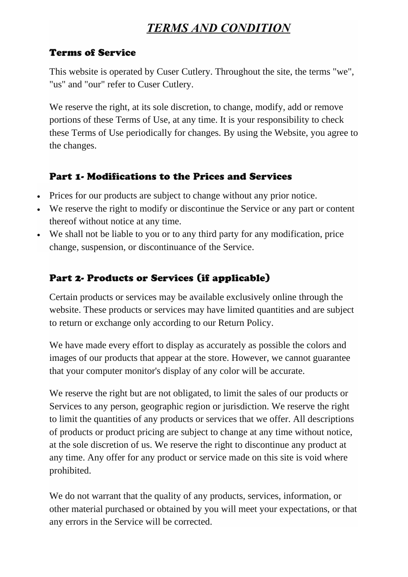# *TERMS AND CONDITION*

#### Terms of Service

This website is operated by Cuser Cutlery. Throughout the site, the terms "we", "us" and "our" refer to Cuser Cutlery.

We reserve the right, at its sole discretion, to change, modify, add or remove portions of these Terms of Use, at any time. It is your responsibility to check these Terms of Use periodically for changes. By using the Website, you agree to the changes.

#### Part 1- Modifications to the Prices and Services

- Prices for our products are subject to change without any prior notice.
- We reserve the right to modify or discontinue the Service or any part or content thereof without notice at any time.
- We shall not be liable to you or to any third party for any modification, price change, suspension, or discontinuance of the Service.

# Part 2- Products or Services (if applicable)

Certain products or services may be available exclusively online through the website. These products or services may have limited quantities and are subject to return or exchange only according to our Return Policy.

We have made every effort to display as accurately as possible the colors and images of our products that appear at the store. However, we cannot guarantee that your computer monitor's display of any color will be accurate.

We reserve the right but are not obligated, to limit the sales of our products or Services to any person, geographic region or jurisdiction. We reserve the right to limit the quantities of any products or services that we offer. All descriptions of products or product pricing are subject to change at any time without notice, at the sole discretion of us. We reserve the right to discontinue any product at any time. Any offer for any product or service made on this site is void where prohibited.

We do not warrant that the quality of any products, services, information, or other material purchased or obtained by you will meet your expectations, or that any errors in the Service will be corrected.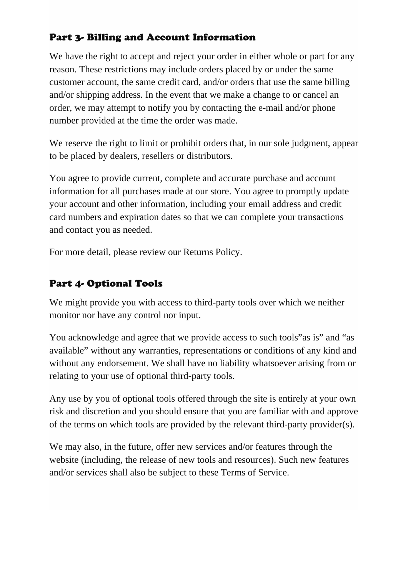## Part 3- Billing and Account Information

We have the right to accept and reject your order in either whole or part for any reason. These restrictions may include orders placed by or under the same customer account, the same credit card, and/or orders that use the same billing and/or shipping address. In the event that we make a change to or cancel an order, we may attempt to notify you by contacting the e-mail and/or phone number provided at the time the order was made.

We reserve the right to limit or prohibit orders that, in our sole judgment, appear to be placed by dealers, resellers or distributors.

You agree to provide current, complete and accurate purchase and account information for all purchases made at our store. You agree to promptly update your account and other information, including your email address and credit card numbers and expiration dates so that we can complete your transactions and contact you as needed.

For more detail, please review our Returns Policy.

### Part 4- Optional Tools

We might provide you with access to third-party tools over which we neither monitor nor have any control nor input.

You acknowledge and agree that we provide access to such tools"as is" and "as available" without any warranties, representations or conditions of any kind and without any endorsement. We shall have no liability whatsoever arising from or relating to your use of optional third-party tools.

Any use by you of optional tools offered through the site is entirely at your own risk and discretion and you should ensure that you are familiar with and approve of the terms on which tools are provided by the relevant third-party provider(s).

We may also, in the future, offer new services and/or features through the website (including, the release of new tools and resources). Such new features and/or services shall also be subject to these Terms of Service.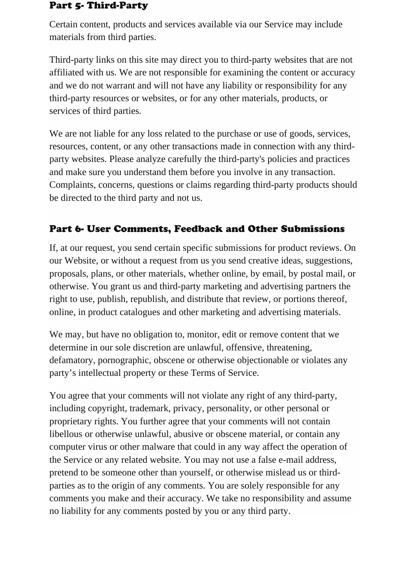#### Part 5- Third-Party

Certain content, products and services available via our Service may include materials from third parties.

Third-party links on this site may direct you to third-party websites that are not affiliated with us. We are not responsible for examining the content or accuracy and we do not warrant and will not have any liability or responsibility for any third-party resources or websites, or for any other materials, products, or services of third parties.

We are not liable for any loss related to the purchase or use of goods, services, resources, content, or any other transactions made in connection with any thirdparty websites. Please analyze carefully the third-party's policies and practices and make sure you understand them before you involve in any transaction. Complaints, concerns, questions or claims regarding third-party products should be directed to the third party and not us.

#### Part 6- User Comments, Feedback and Other Submissions

If, at our request, you send certain specific submissions for product reviews. On our Website, or without a request from us you send creative ideas, suggestions, proposals, plans, or other materials, whether online, by email, by postal mail, or otherwise. You grant us and third-party marketing and advertising partners the right to use, publish, republish, and distribute that review, or portions thereof, online, in product catalogues and other marketing and advertising materials.

We may, but have no obligation to, monitor, edit or remove content that we determine in our sole discretion are unlawful, offensive, threatening, defamatory, pornographic, obscene or otherwise objectionable or violates any party's intellectual property or these Terms of Service.

You agree that your comments will not violate any right of any third-party, including copyright, trademark, privacy, personality, or other personal or proprietary rights. You further agree that your comments will not contain libellous or otherwise unlawful, abusive or obscene material, or contain any computer virus or other malware that could in any way affect the operation of the Service or any related website. You may not use a false e-mail address, pretend to be someone other than yourself, or otherwise mislead us or thirdparties as to the origin of any comments. You are solely responsible for any comments you make and their accuracy. We take no responsibility and assume no liability for any comments posted by you or any third party.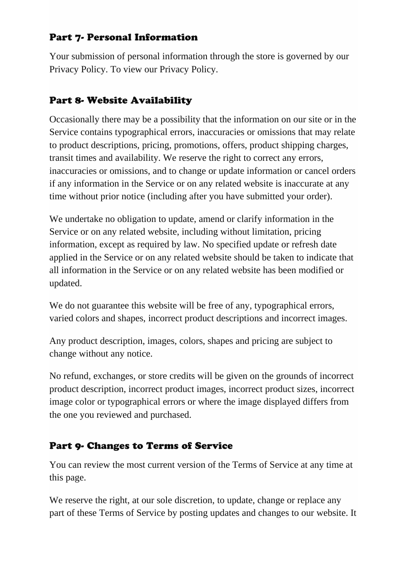### Part 7- Personal Information

Your submission of personal information through the store is governed by our Privacy Policy. To view our Privacy Policy.

### Part 8- Website Availability

Occasionally there may be a possibility that the information on our site or in the Service contains typographical errors, inaccuracies or omissions that may relate to product descriptions, pricing, promotions, offers, product shipping charges, transit times and availability. We reserve the right to correct any errors, inaccuracies or omissions, and to change or update information or cancel orders if any information in the Service or on any related website is inaccurate at any time without prior notice (including after you have submitted your order).

We undertake no obligation to update, amend or clarify information in the Service or on any related website, including without limitation, pricing information, except as required by law. No specified update or refresh date applied in the Service or on any related website should be taken to indicate that all information in the Service or on any related website has been modified or updated.

We do not guarantee this website will be free of any, typographical errors, varied colors and shapes, incorrect product descriptions and incorrect images.

Any product description, images, colors, shapes and pricing are subject to change without any notice.

No refund, exchanges, or store credits will be given on the grounds of incorrect product description, incorrect product images, incorrect product sizes, incorrect image color or typographical errors or where the image displayed differs from the one you reviewed and purchased.

### Part 9- Changes to Terms of Service

You can review the most current version of the Terms of Service at any time at this page.

We reserve the right, at our sole discretion, to update, change or replace any part of these Terms of Service by posting updates and changes to our website. It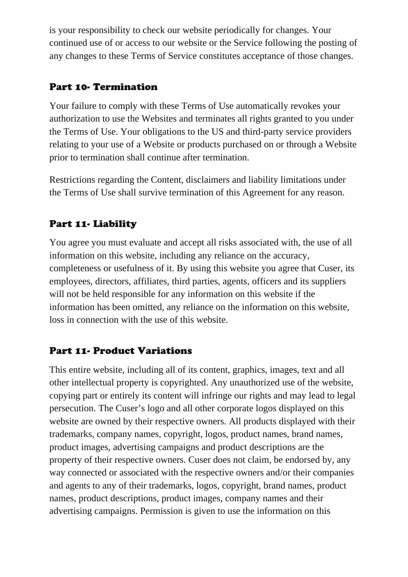is your responsibility to check our website periodically for changes. Your continued use of or access to our website or the Service following the posting of any changes to these Terms of Service constitutes acceptance of those changes.

### Part 10- Termination

Your failure to comply with these Terms of Use automatically revokes your authorization to use the Websites and terminates all rights granted to you under the Terms of Use. Your obligations to the US and third-party service providers relating to your use of a Website or products purchased on or through a Website prior to termination shall continue after termination.

Restrictions regarding the Content, disclaimers and liability limitations under the Terms of Use shall survive termination of this Agreement for any reason.

## Part 11- Liability

You agree you must evaluate and accept all risks associated with, the use of all information on this website, including any reliance on the accuracy, completeness or usefulness of it. By using this website you agree that Cuser, its employees, directors, affiliates, third parties, agents, officers and its suppliers will not be held responsible for any information on this website if the information has been omitted, any reliance on the information on this website, loss in connection with the use of this website.

### Part 11- Product Variations

This entire website, including all of its content, graphics, images, text and all other intellectual property is copyrighted. Any unauthorized use of the website, copying part or entirely its content will infringe our rights and may lead to legal persecution. The Cuser's logo and all other corporate logos displayed on this website are owned by their respective owners. All products displayed with their trademarks, company names, copyright, logos, product names, brand names, product images, advertising campaigns and product descriptions are the property of their respective owners. Cuser does not claim, be endorsed by, any way connected or associated with the respective owners and/or their companies and agents to any of their trademarks, logos, copyright, brand names, product names, product descriptions, product images, company names and their advertising campaigns. Permission is given to use the information on this